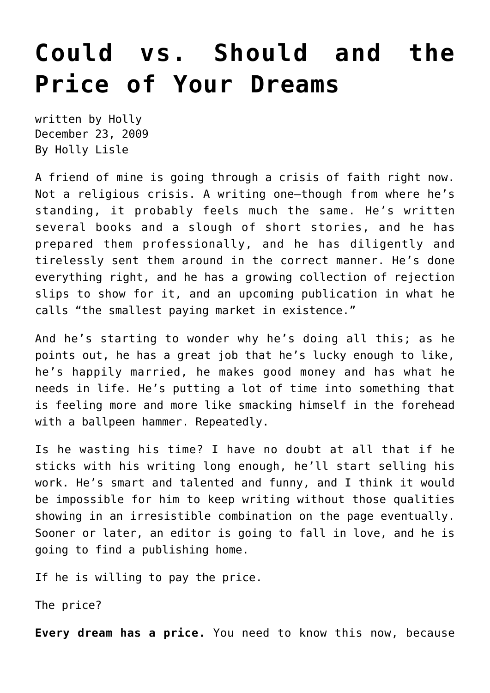## **[Could vs. Should and the](https://hollylisle.com/could-vs-should-and-the-price-of-your-dreams/) [Price of Your Dreams](https://hollylisle.com/could-vs-should-and-the-price-of-your-dreams/)**

written by Holly December 23, 2009 [By Holly Lisle](https://hollylisle.com)

A friend of mine is going through a crisis of faith right now. Not a religious crisis. A writing one—though from where he's standing, it probably feels much the same. He's written several books and a slough of short stories, and he has prepared them professionally, and he has diligently and tirelessly sent them around in the correct manner. He's done everything right, and he has a growing collection of rejection slips to show for it, and an upcoming publication in what he calls "the smallest paying market in existence."

And he's starting to wonder why he's doing all this; as he points out, he has a great job that he's lucky enough to like, he's happily married, he makes good money and has what he needs in life. He's putting a lot of time into something that is feeling more and more like smacking himself in the forehead with a ballpeen hammer. Repeatedly.

Is he wasting his time? I have no doubt at all that if he sticks with his writing long enough, he'll start selling his work. He's smart and talented and funny, and I think it would be impossible for him to keep writing without those qualities showing in an irresistible combination on the page eventually. Sooner or later, an editor is going to fall in love, and he is going to find a publishing home.

If he is willing to pay the price.

The price?

**Every dream has a price.** You need to know this now, because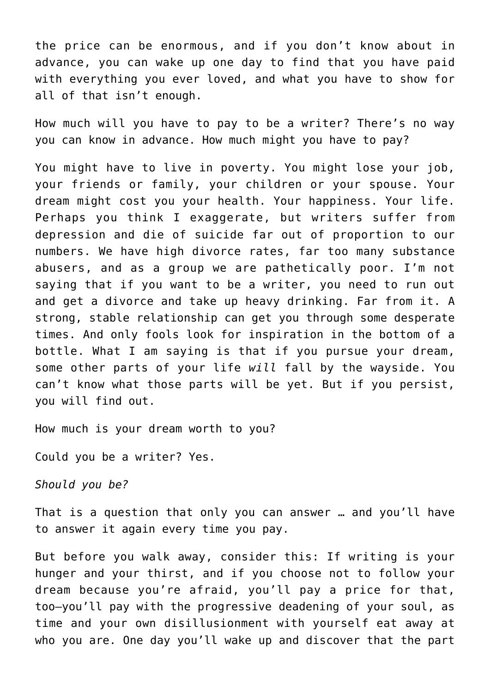the price can be enormous, and if you don't know about in advance, you can wake up one day to find that you have paid with everything you ever loved, and what you have to show for all of that isn't enough.

How much will you have to pay to be a writer? There's no way you can know in advance. How much might you have to pay?

You might have to live in poverty. You might lose your job, your friends or family, your children or your spouse. Your dream might cost you your health. Your happiness. Your life. Perhaps you think I exaggerate, but writers suffer from depression and die of suicide far out of proportion to our numbers. We have high divorce rates, far too many substance abusers, and as a group we are pathetically poor. I'm not saying that if you want to be a writer, you need to run out and get a divorce and take up heavy drinking. Far from it. A strong, stable relationship can get you through some desperate times. And only fools look for inspiration in the bottom of a bottle. What I am saying is that if you pursue your dream, some other parts of your life *will* fall by the wayside. You can't know what those parts will be yet. But if you persist, you will find out.

How much is your dream worth to you?

Could you be a writer? Yes.

*Should you be?*

That is a question that only you can answer … and you'll have to answer it again every time you pay.

But before you walk away, consider this: If writing is your hunger and your thirst, and if you choose not to follow your dream because you're afraid, you'll pay a price for that, too—you'll pay with the progressive deadening of your soul, as time and your own disillusionment with yourself eat away at who you are. One day you'll wake up and discover that the part